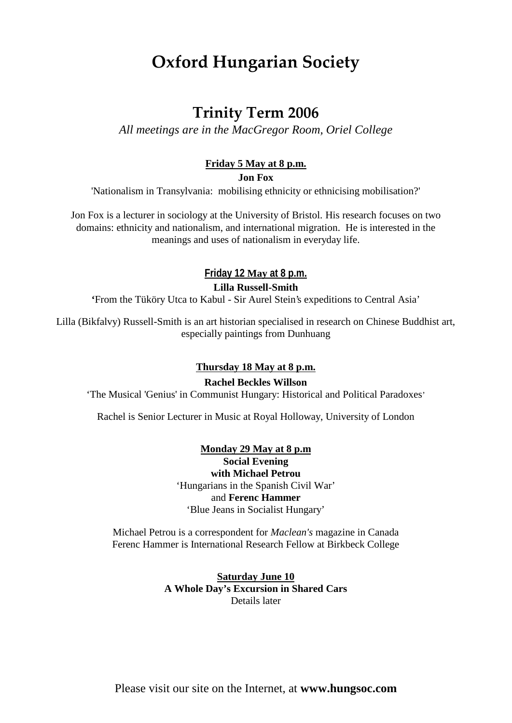# **Oxford Hungarian Society**

## **Trinity Term 2006**

*All meetings are in the MacGregor Room, Oriel College*

### **Friday 5 May at 8 p.m.**

**Jon Fox**

'Nationalism in Transylvania: mobilising ethnicity or ethnicising mobilisation?'

Jon Fox is a lecturer in sociology at the University of Bristol. His research focuses on two domains: ethnicity and nationalism, and international migration. He is interested in the meanings and uses of nationalism in everyday life.

> **Friday 12 May at 8 p.m. Lilla Russell-Smith**

**'**From the Tüköry Utca to Kabul - Sir Aurel Stein's expeditions to Central Asia'

Lilla (Bikfalvy) Russell-Smith is an art historian specialised in research on Chinese Buddhist art, especially paintings from Dunhuang

#### **Thursday 18 May at 8 p.m.**

**Rachel Beckles Willson**

'The Musical 'Genius' in Communist Hungary: Historical and Political Paradoxes'

Rachel is Senior Lecturer in Music at Royal Holloway, University of London

#### **Monday 29 May at 8 p.m**

**Social Evening with Michael Petrou** 'Hungarians in the Spanish Civil War' and **Ferenc Hammer** 'Blue Jeans in Socialist Hungary'

Michael Petrou is a correspondent for *Maclean's* magazine in Canada Ferenc Hammer is International Research Fellow at Birkbeck College

> **Saturday June 10 A Whole Day's Excursion in Shared Cars** Details later